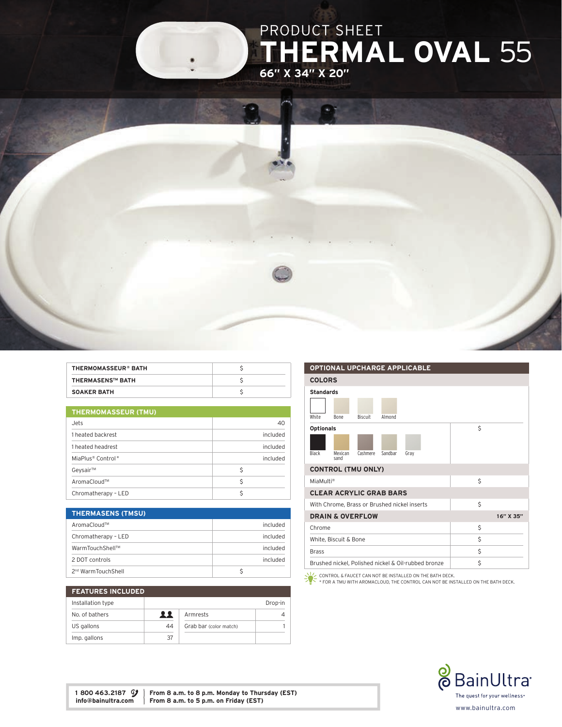

| <b>THERMOMASSEUR® BATH</b> |  |
|----------------------------|--|
| <b>THERMASENS™ BATH</b>    |  |
| <b>SOAKER BATH</b>         |  |

|  |  | <b>THERMOMASSEUR (TMU)</b> |
|--|--|----------------------------|
|  |  |                            |
|  |  |                            |

| Jets                          | 40       |  |  |
|-------------------------------|----------|--|--|
| 1 heated backrest             | included |  |  |
| 1 heated headrest             | included |  |  |
| MiaPlus <sup>®</sup> Control* | included |  |  |
| Geysair™                      | Ś        |  |  |
| AromaCloud™                   | Ś        |  |  |
| Chromatherapy - LED           |          |  |  |

| <b>THERMASENS (TMSU)</b>       |                 |
|--------------------------------|-----------------|
| AromaCloud™                    | included        |
| Chromatherapy - LED            | <b>Included</b> |
| WarmTouchShell™                | included        |
| 2 DOT controls                 | included        |
| 2 <sup>nd</sup> WarmTouchShell |                 |

| <b>FEATURES INCLUDED</b> |    |                        |         |  |
|--------------------------|----|------------------------|---------|--|
| Installation type        |    |                        | Drop-in |  |
| No. of bathers           | 22 | Armrests               |         |  |
| US gallons               | 44 | Grab bar (color match) |         |  |
| Imp. gallons             | 37 |                        |         |  |

## OPTIONAL UPCHARGE APPLICABLE COLORS Standards

| White                 | <b>Bone</b>                    | <b>Biscuit</b> | Almond  |                                                     |    |           |
|-----------------------|--------------------------------|----------------|---------|-----------------------------------------------------|----|-----------|
| <b>Optionals</b>      |                                |                |         |                                                     | Ś  |           |
|                       |                                |                |         |                                                     |    |           |
| Black                 | Mexican<br>sand                | Cashmere       | Sandbar | Gray                                                |    |           |
|                       | <b>CONTROL (TMU ONLY)</b>      |                |         |                                                     |    |           |
| MiaMulti <sup>®</sup> |                                |                |         |                                                     | \$ |           |
|                       | <b>CLEAR ACRYLIC GRAB BARS</b> |                |         |                                                     |    |           |
|                       |                                |                |         | With Chrome, Brass or Brushed nickel inserts        | Ś  |           |
|                       | <b>DRAIN &amp; OVERFLOW</b>    |                |         |                                                     |    | 16" X 35" |
| Chrome                |                                |                |         |                                                     | Ś  |           |
|                       | White, Biscuit & Bone          |                |         |                                                     | Ś  |           |
| <b>Brass</b>          |                                |                |         |                                                     | Ś  |           |
|                       |                                |                |         | Brushed nickel, Polished nickel & Oil-rubbed bronze | Ś  |           |

CONTROL & FAUCET CAN NOT BE INSTALLED ON THE BATH DECK. \* FOR A TMU WITH AROMACLOUD, THE CONTROL CAN NOT BE INSTALLED ON THE BATH DECK.